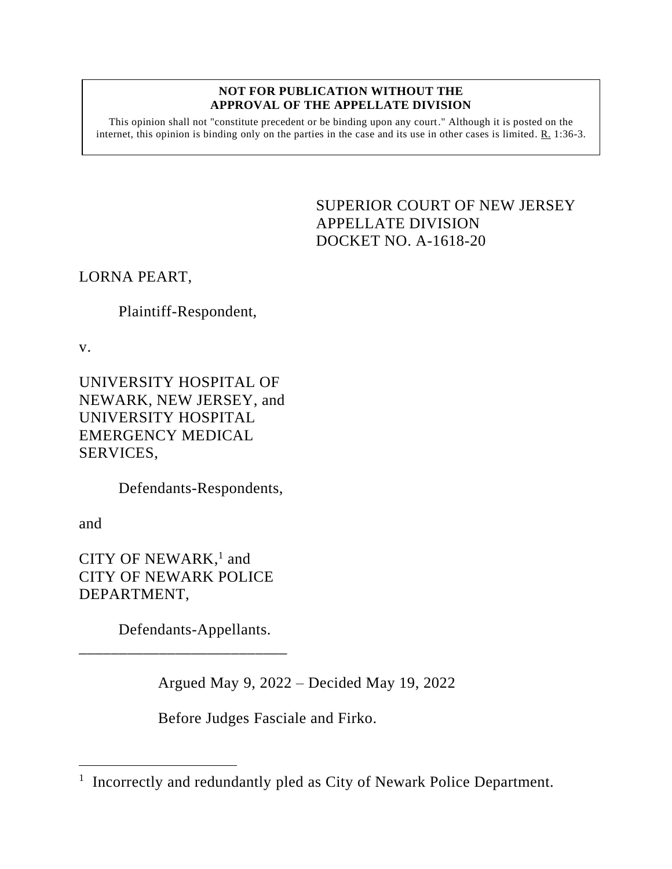#### **NOT FOR PUBLICATION WITHOUT THE APPROVAL OF THE APPELLATE DIVISION**

This opinion shall not "constitute precedent or be binding upon any court." Although it is posted on the internet, this opinion is binding only on the parties in the case and its use in other cases is limited. R. 1:36-3.

> <span id="page-0-0"></span>SUPERIOR COURT OF NEW JERSEY APPELLATE DIVISION DOCKET NO. A-1618-20

LORNA PEART,

Plaintiff-Respondent,

v.

UNIVERSITY HOSPITAL OF NEWARK, NEW JERSEY, and UNIVERSITY HOSPITAL EMERGENCY MEDICAL SERVICES,

Defendants-Respondents,

and

CITY OF NEWARK,<sup>1</sup> and CITY OF NEWARK POLICE DEPARTMENT,

Defendants-Appellants.

\_\_\_\_\_\_\_\_\_\_\_\_\_\_\_\_\_\_\_\_\_\_\_\_\_\_

Argued May 9, 2022 – Decided May 19, 2022

Before Judges Fasciale and Firko.

<sup>&</sup>lt;sup>1</sup> Incorrectly and redundantly pled as City of Newark Police Department.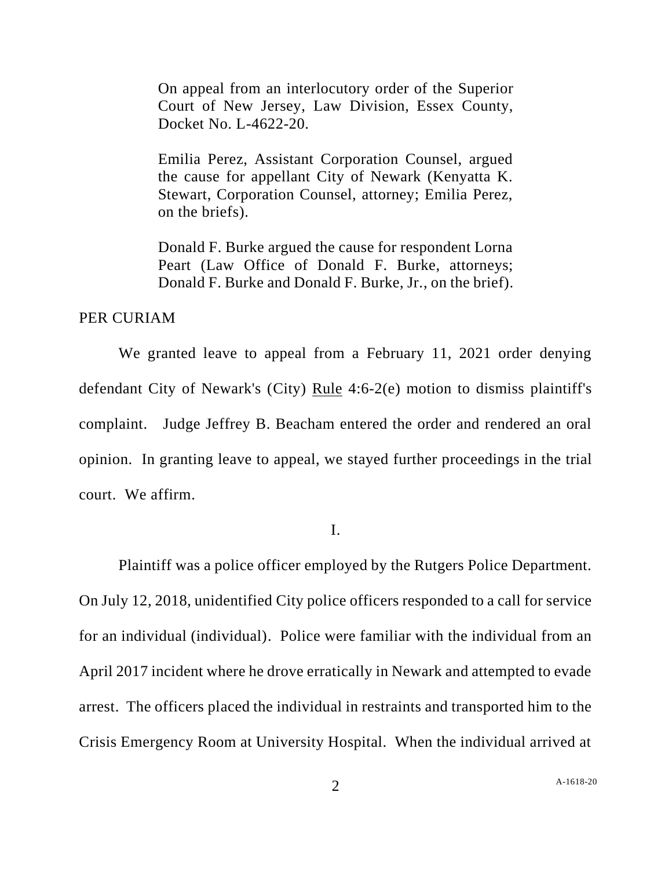On appeal from an interlocutory order of the Superior Court of New Jersey, Law Division, Essex County, Docket No. L-4622-20.

Emilia Perez, Assistant Corporation Counsel, argued the cause for appellant City of Newark (Kenyatta K. Stewart, Corporation Counsel, attorney; Emilia Perez, on the briefs).

Donald F. Burke argued the cause for respondent Lorna Peart (Law Office of Donald F. Burke, attorneys; Donald F. Burke and Donald F. Burke, Jr., on the brief).

### PER CURIAM

We granted leave to appeal from a February 11, 2021 order denying defendant City of Newark's (City) Rule 4:6-2(e) motion to dismiss plaintiff's complaint. Judge Jeffrey B. Beacham entered the order and rendered an oral opinion. In granting leave to appeal, we stayed further proceedings in the trial court. We affirm.

I.

Plaintiff was a police officer employed by the Rutgers Police Department. On July 12, 2018, unidentified City police officers responded to a call for service for an individual (individual). Police were familiar with the individual from an April 2017 incident where he drove erratically in Newark and attempted to evade arrest. The officers placed the individual in restraints and transported him to the Crisis Emergency Room at University Hospital. When the individual arrived at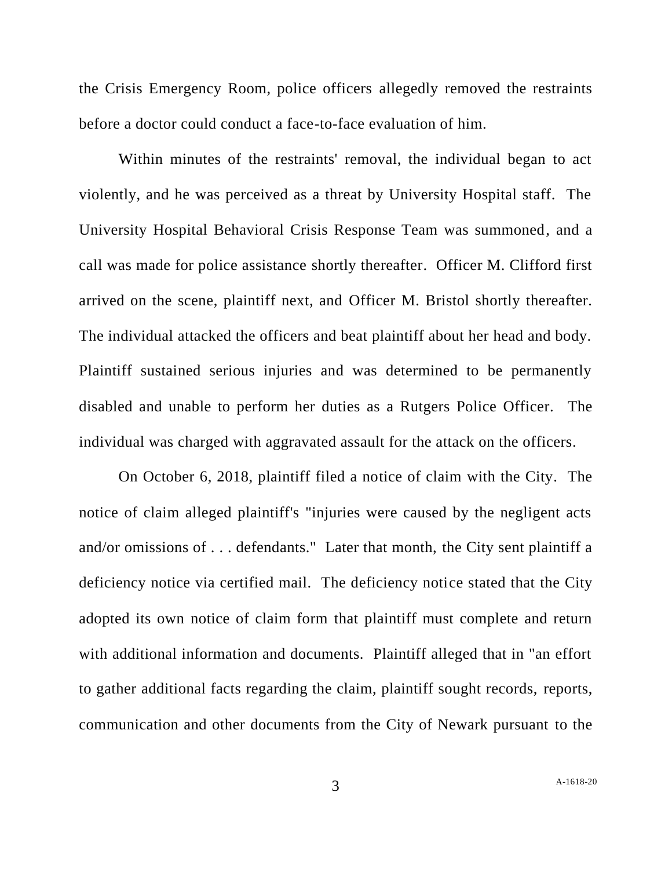the Crisis Emergency Room, police officers allegedly removed the restraints before a doctor could conduct a face-to-face evaluation of him.

Within minutes of the restraints' removal, the individual began to act violently, and he was perceived as a threat by University Hospital staff. The University Hospital Behavioral Crisis Response Team was summoned, and a call was made for police assistance shortly thereafter. Officer M. Clifford first arrived on the scene, plaintiff next, and Officer M. Bristol shortly thereafter. The individual attacked the officers and beat plaintiff about her head and body. Plaintiff sustained serious injuries and was determined to be permanently disabled and unable to perform her duties as a Rutgers Police Officer. The individual was charged with aggravated assault for the attack on the officers.

On October 6, 2018, plaintiff filed a notice of claim with the City. The notice of claim alleged plaintiff's "injuries were caused by the negligent acts and/or omissions of . . . defendants." Later that month, the City sent plaintiff a deficiency notice via certified mail. The deficiency notice stated that the City adopted its own notice of claim form that plaintiff must complete and return with additional information and documents. Plaintiff alleged that in "an effort to gather additional facts regarding the claim, plaintiff sought records, reports, communication and other documents from the City of Newark pursuant to the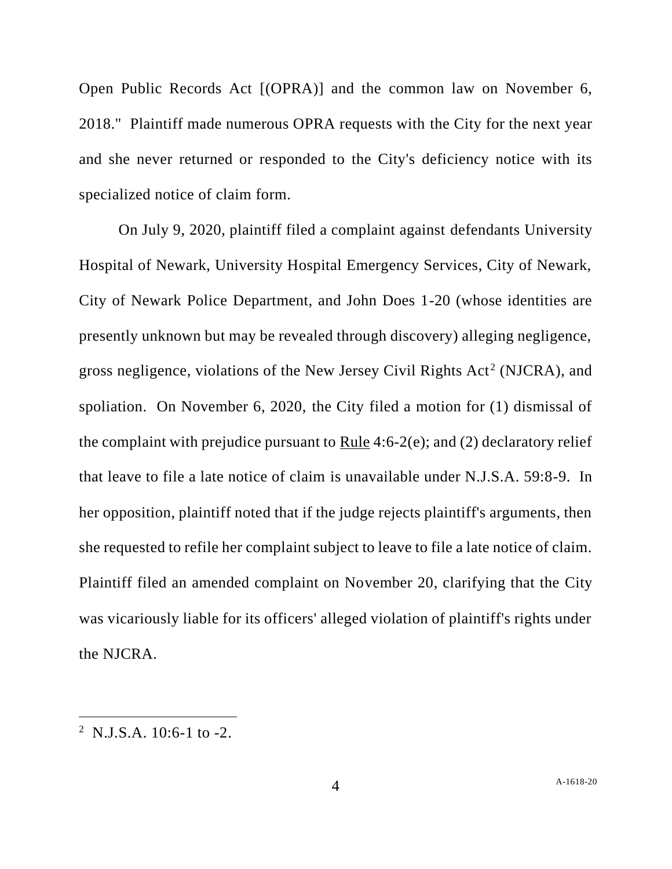Open Public Records Act [(OPRA)] and the common law on November 6, 2018." Plaintiff made numerous OPRA requests with the City for the next year and she never returned or responded to the City's deficiency notice with its specialized notice of claim form.

On July 9, 2020, plaintiff filed a complaint against defendants University Hospital of Newark, University Hospital Emergency Services, City of Newark, City of Newark Police Department, and John Does 1-20 (whose identities are presently unknown but may be revealed through discovery) alleging negligence, gross negligence, violations of the New Jersey Civil Rights  $Act^2(NICRA)$ , and spoliation. On November 6, 2020, the City filed a motion for (1) dismissal of the complaint with prejudice pursuant to Rule 4:6-2(e); and (2) declaratory relief that leave to file a late notice of claim is unavailable under N.J.S.A. 59:8-9. In her opposition, plaintiff noted that if the judge rejects plaintiff's arguments, then she requested to refile her complaint subject to leave to file a late notice of claim. Plaintiff filed an amended complaint on November 20, clarifying that the City was vicariously liable for its officers' alleged violation of plaintiff's rights under the NJCRA.

 $2$  N.J.S.A. 10:6-1 to -2.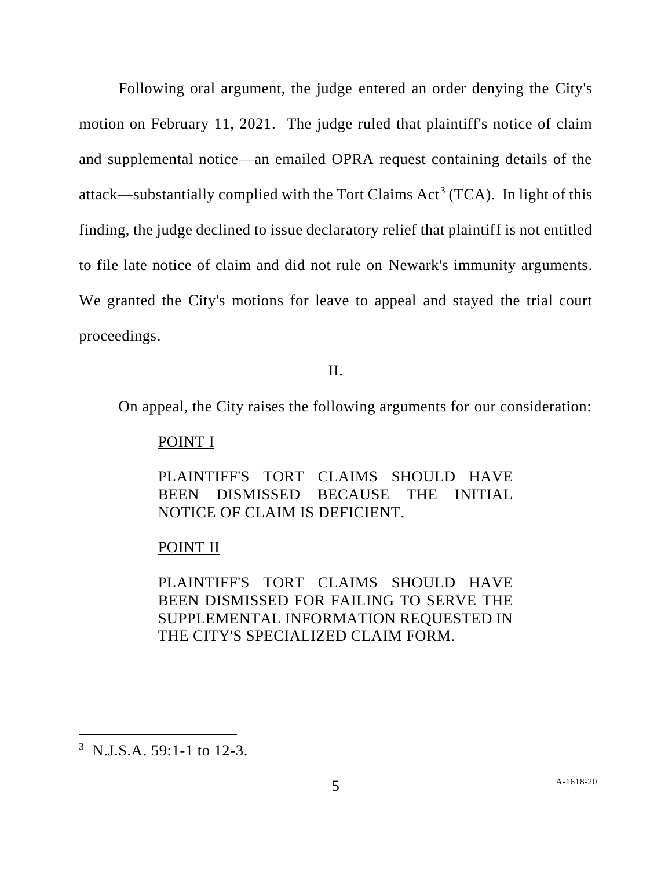Following oral argument, the judge entered an order denying the City's motion on February 11, 2021. The judge ruled that plaintiff's notice of claim and supplemental notice—an emailed OPRA request containing details of the attack—substantially complied with the Tort Claims  $Act^3(TCA)$ . In light of this finding, the judge declined to issue declaratory relief that plaintiff is not entitled to file late notice of claim and did not rule on Newark's immunity arguments. We granted the City's motions for leave to appeal and stayed the trial court proceedings.

## II.

On appeal, the City raises the following arguments for our consideration:

# POINT I

PLAINTIFF'S TORT CLAIMS SHOULD HAVE BEEN DISMISSED BECAUSE THE INITIAL NOTICE OF CLAIM IS DEFICIENT.

### POINT II

PLAINTIFF'S TORT CLAIMS SHOULD HAVE BEEN DISMISSED FOR FAILING TO SERVE THE SUPPLEMENTAL INFORMATION REQUESTED IN THE CITY'S SPECIALIZED CLAIM FORM.

<sup>&</sup>lt;sup>3</sup> N.J.S.A. 59:1-1 to 12-3.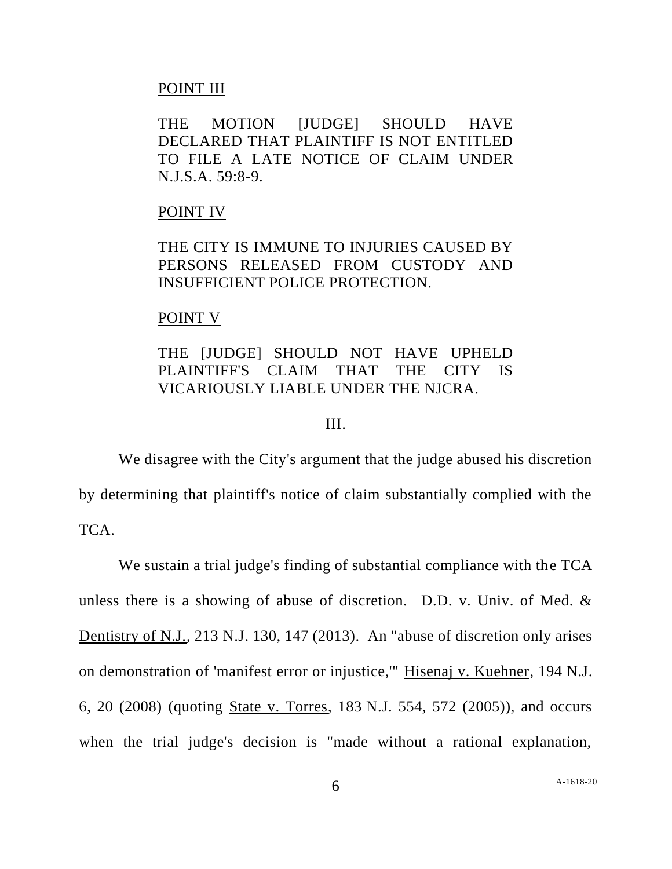### POINT III

THE MOTION [JUDGE] SHOULD HAVE DECLARED THAT PLAINTIFF IS NOT ENTITLED TO FILE A LATE NOTICE OF CLAIM UNDER N.J.S.A. 59:8-9.

#### POINT IV

THE CITY IS IMMUNE TO INJURIES CAUSED BY PERSONS RELEASED FROM CUSTODY AND INSUFFICIENT POLICE PROTECTION.

#### POINT V

# THE [JUDGE] SHOULD NOT HAVE UPHELD PLAINTIFF'S CLAIM THAT THE CITY IS VICARIOUSLY LIABLE UNDER THE NJCRA.

### III.

We disagree with the City's argument that the judge abused his discretion by determining that plaintiff's notice of claim substantially complied with the TCA.

We sustain a trial judge's finding of substantial compliance with the TCA unless there is a showing of abuse of discretion. D.D. v. Univ. of Med. & Dentistry of N.J., 213 N.J. 130, 147 (2013). An "abuse of discretion only arises on demonstration of 'manifest error or injustice,'" Hisenaj v. Kuehner, 194 N.J. 6, 20 (2008) (quoting State v. Torres, 183 N.J. 554, 572 (2005)), and occurs when the trial judge's decision is "made without a rational explanation,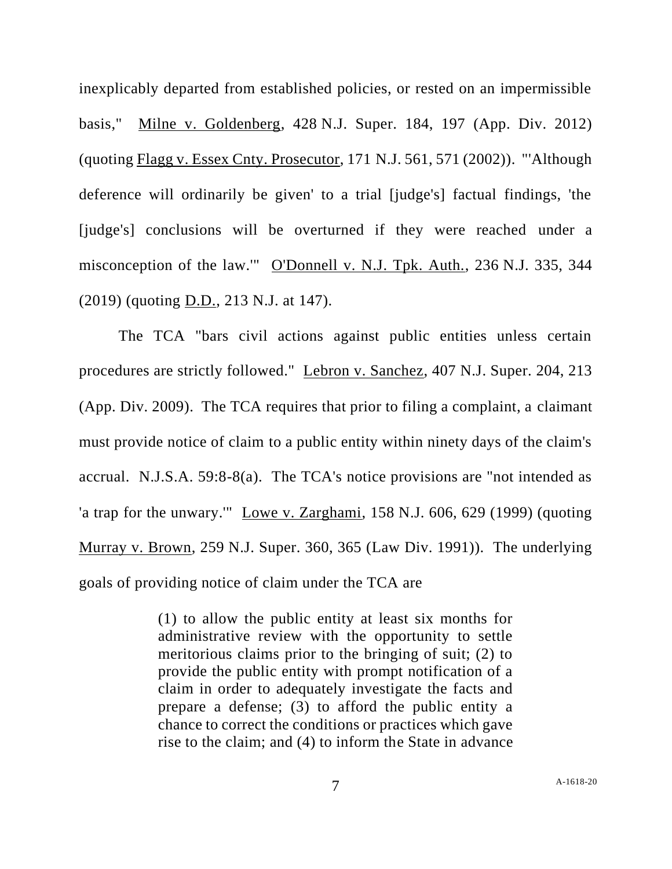inexplicably departed from established policies, or rested on an impermissible basis," Milne v. Goldenberg, 428 N.J. Super. 184, 197 (App. Div. 2012) (quoting Flagg v. Essex Cnty. Prosecutor, 171 N.J. 561, 571 (2002)). "'Although deference will ordinarily be given' to a trial [judge's] factual findings, 'the [judge's] conclusions will be overturned if they were reached under a misconception of the law.'" O'Donnell v. N.J. Tpk. Auth., 236 N.J. 335, 344 (2019) (quoting D.D., 213 N.J. at 147).

The TCA "bars civil actions against public entities unless certain procedures are strictly followed." Lebron v. Sanchez, 407 N.J. Super. 204, 213 (App. Div. 2009). The TCA requires that prior to filing a complaint, a claimant must provide notice of claim to a public entity within ninety days of the claim's accrual. N.J.S.A. 59:8-8(a). The TCA's notice provisions are "not intended as 'a trap for the unwary.'" Lowe v. Zarghami, 158 N.J. 606, 629 (1999) (quoting Murray v. Brown, 259 N.J. Super. 360, 365 (Law Div. 1991)). The underlying goals of providing notice of claim under the TCA are

> (1) to allow the public entity at least six months for administrative review with the opportunity to settle meritorious claims prior to the bringing of suit; (2) to provide the public entity with prompt notification of a claim in order to adequately investigate the facts and prepare a defense; (3) to afford the public entity a chance to correct the conditions or practices which gave rise to the claim; and (4) to inform the State in advance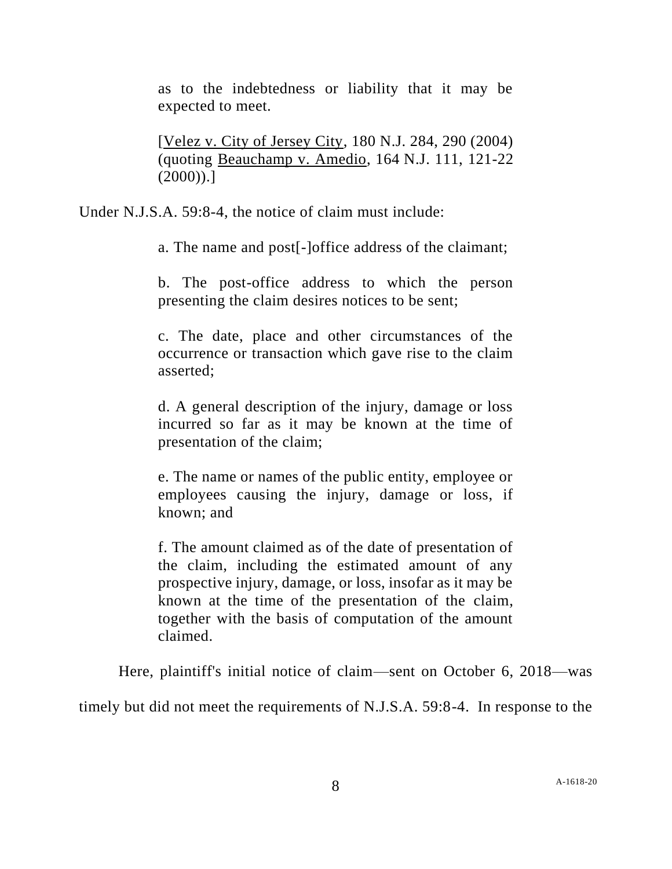as to the indebtedness or liability that it may be expected to meet.

[Velez v. City of Jersey City, 180 N.J. 284, 290 (2004) (quoting Beauchamp v. Amedio, 164 N.J. 111, 121-22  $(2000)$ .]

Under N.J.S.A. 59:8-4, the notice of claim must include:

a. The name and post[-]office address of the claimant;

b. The post-office address to which the person presenting the claim desires notices to be sent;

c. The date, place and other circumstances of the occurrence or transaction which gave rise to the claim asserted;

d. A general description of the injury, damage or loss incurred so far as it may be known at the time of presentation of the claim;

e. The name or names of the public entity, employee or employees causing the injury, damage or loss, if known; and

f. The amount claimed as of the date of presentation of the claim, including the estimated amount of any prospective injury, damage, or loss, insofar as it may be known at the time of the presentation of the claim, together with the basis of computation of the amount claimed.

Here, plaintiff's initial notice of claim—sent on October 6, 2018—was

timely but did not meet the requirements of N.J.S.A. 59:8-4. In response to the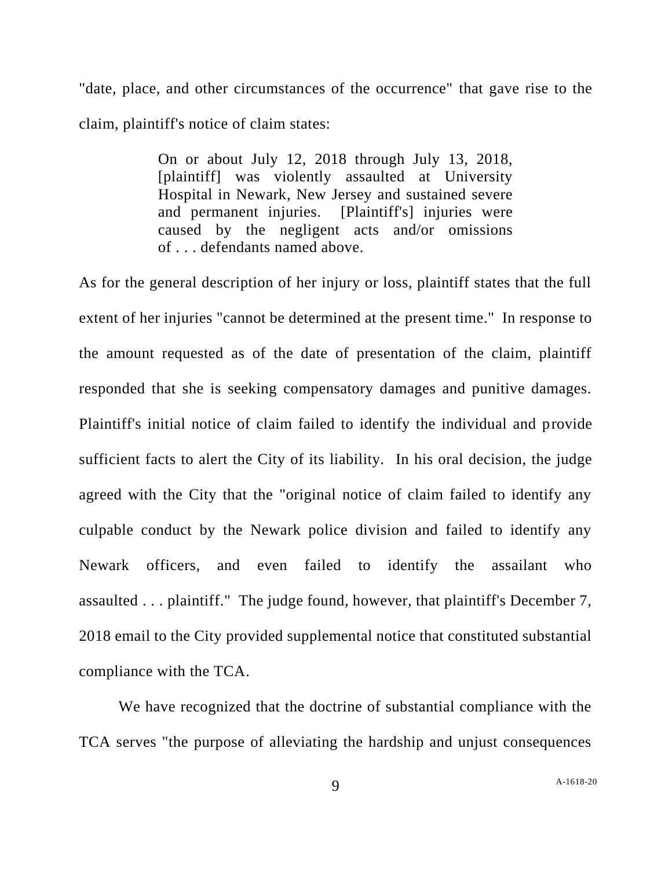"date, place, and other circumstances of the occurrence" that gave rise to the claim, plaintiff's notice of claim states:

> On or about July 12, 2018 through July 13, 2018, [plaintiff] was violently assaulted at University Hospital in Newark, New Jersey and sustained severe and permanent injuries. [Plaintiff's] injuries were caused by the negligent acts and/or omissions of . . . defendants named above.

As for the general description of her injury or loss, plaintiff states that the full extent of her injuries "cannot be determined at the present time." In response to the amount requested as of the date of presentation of the claim, plaintiff responded that she is seeking compensatory damages and punitive damages. Plaintiff's initial notice of claim failed to identify the individual and provide sufficient facts to alert the City of its liability. In his oral decision, the judge agreed with the City that the "original notice of claim failed to identify any culpable conduct by the Newark police division and failed to identify any Newark officers, and even failed to identify the assailant who assaulted . . . plaintiff." The judge found, however, that plaintiff's December 7, 2018 email to the City provided supplemental notice that constituted substantial compliance with the TCA.

We have recognized that the doctrine of substantial compliance with the TCA serves "the purpose of alleviating the hardship and unjust consequences

9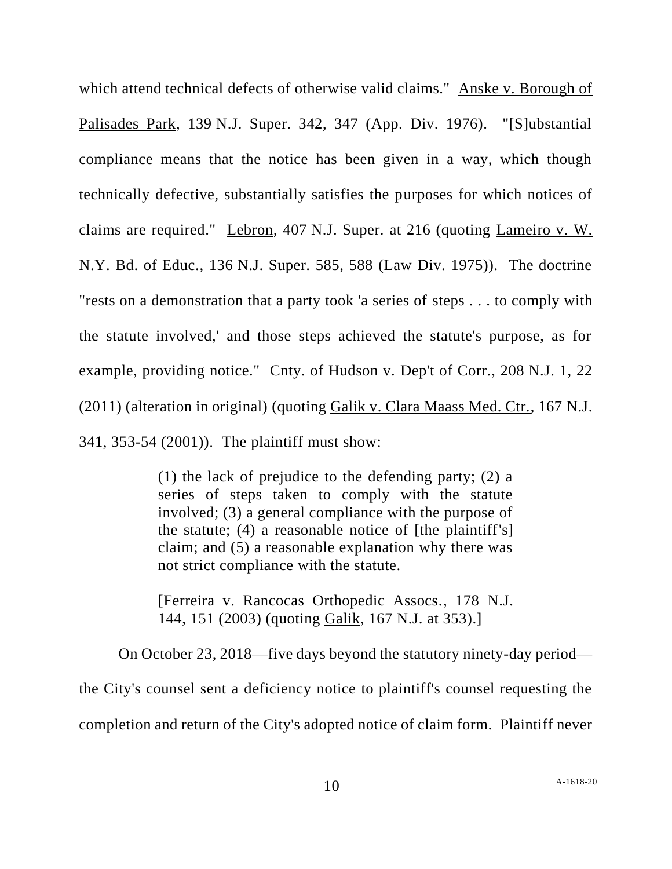which attend technical defects of otherwise valid claims." Anske v. Borough of Palisades Park, 139 N.J. Super. 342, 347 (App. Div. 1976). "[S]ubstantial compliance means that the notice has been given in a way, which though technically defective, substantially satisfies the purposes for which notices of claims are required." Lebron, 407 N.J. Super. at 216 (quoting Lameiro v. W. N.Y. Bd. of Educ., 136 N.J. Super. 585, 588 (Law Div. 1975)). The doctrine "rests on a demonstration that a party took 'a series of steps . . . to comply with the statute involved,' and those steps achieved the statute's purpose, as for example, providing notice." Cnty. of Hudson v. Dep't of Corr., 208 N.J. 1, 22 (2011) (alteration in original) (quoting Galik v. Clara Maass Med. Ctr., 167 N.J. 341, 353-54 (2001)). The plaintiff must show:

> (1) the lack of prejudice to the defending party; (2) a series of steps taken to comply with the statute involved; (3) a general compliance with the purpose of the statute; (4) a reasonable notice of [the plaintiff's] claim; and (5) a reasonable explanation why there was not strict compliance with the statute.

> [Ferreira v. Rancocas Orthopedic Assocs., 178 N.J. 144, 151 (2003) (quoting Galik, 167 N.J. at 353).]

On October 23, 2018—five days beyond the statutory ninety-day period the City's counsel sent a deficiency notice to plaintiff's counsel requesting the completion and return of the City's adopted notice of claim form. Plaintiff never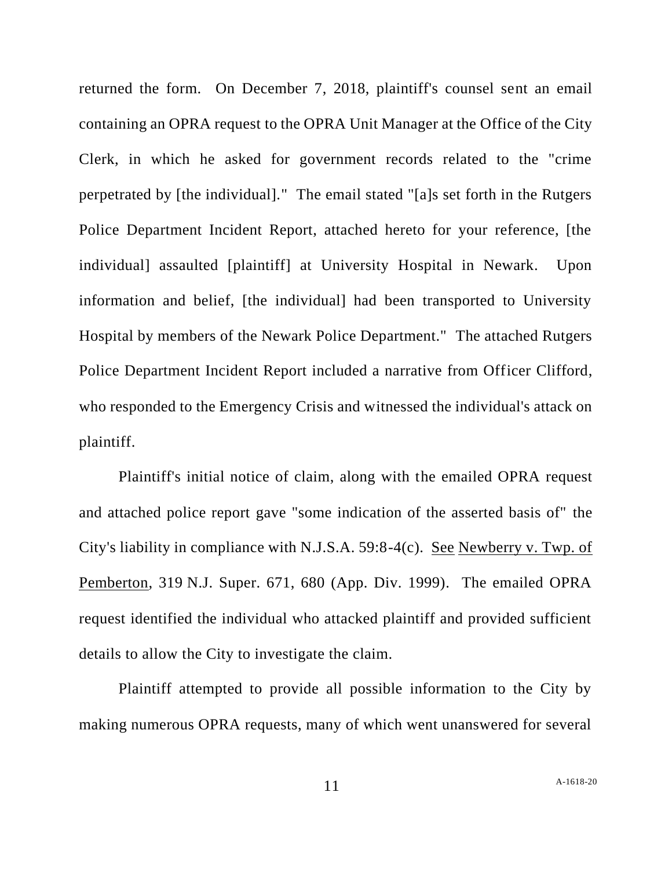returned the form. On December 7, 2018, plaintiff's counsel sent an email containing an OPRA request to the OPRA Unit Manager at the Office of the City Clerk, in which he asked for government records related to the "crime perpetrated by [the individual]." The email stated "[a]s set forth in the Rutgers Police Department Incident Report, attached hereto for your reference, [the individual] assaulted [plaintiff] at University Hospital in Newark. Upon information and belief, [the individual] had been transported to University Hospital by members of the Newark Police Department." The attached Rutgers Police Department Incident Report included a narrative from Officer Clifford, who responded to the Emergency Crisis and witnessed the individual's attack on plaintiff.

Plaintiff's initial notice of claim, along with the emailed OPRA request and attached police report gave "some indication of the asserted basis of" the City's liability in compliance with N.J.S.A. 59:8-4(c). See Newberry v. Twp. of Pemberton, 319 N.J. Super. 671, 680 (App. Div. 1999). The emailed OPRA request identified the individual who attacked plaintiff and provided sufficient details to allow the City to investigate the claim.

Plaintiff attempted to provide all possible information to the City by making numerous OPRA requests, many of which went unanswered for several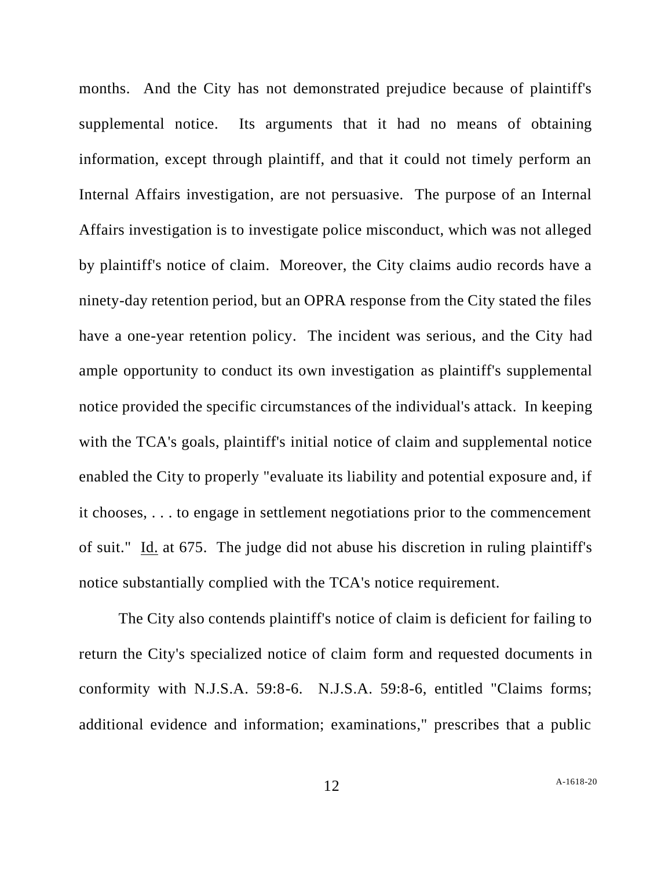months. And the City has not demonstrated prejudice because of plaintiff's supplemental notice. Its arguments that it had no means of obtaining information, except through plaintiff, and that it could not timely perform an Internal Affairs investigation, are not persuasive. The purpose of an Internal Affairs investigation is to investigate police misconduct, which was not alleged by plaintiff's notice of claim. Moreover, the City claims audio records have a ninety-day retention period, but an OPRA response from the City stated the files have a one-year retention policy. The incident was serious, and the City had ample opportunity to conduct its own investigation as plaintiff's supplemental notice provided the specific circumstances of the individual's attack. In keeping with the TCA's goals, plaintiff's initial notice of claim and supplemental notice enabled the City to properly "evaluate its liability and potential exposure and, if it chooses, . . . to engage in settlement negotiations prior to the commencement of suit." Id. at 675. The judge did not abuse his discretion in ruling plaintiff's notice substantially complied with the TCA's notice requirement.

The City also contends plaintiff's notice of claim is deficient for failing to return the City's specialized notice of claim form and requested documents in conformity with N.J.S.A. 59:8-6. N.J.S.A. 59:8-6, entitled "Claims forms; additional evidence and information; examinations," prescribes that a public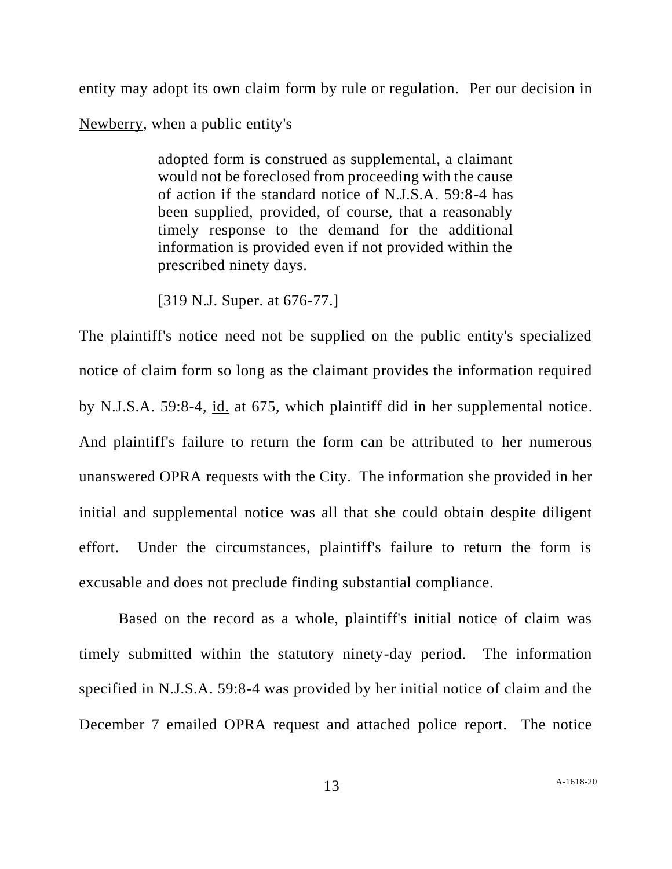entity may adopt its own claim form by rule or regulation. Per our decision in Newberry, when a public entity's

> adopted form is construed as supplemental, a claimant would not be foreclosed from proceeding with the cause of action if the standard notice of N.J.S.A. 59:8-4 has been supplied, provided, of course, that a reasonably timely response to the demand for the additional information is provided even if not provided within the prescribed ninety days.

[319 N.J. Super. at 676-77.]

The plaintiff's notice need not be supplied on the public entity's specialized notice of claim form so long as the claimant provides the information required by N.J.S.A. 59:8-4, id. at 675, which plaintiff did in her supplemental notice. And plaintiff's failure to return the form can be attributed to her numerous unanswered OPRA requests with the City. The information she provided in her initial and supplemental notice was all that she could obtain despite diligent effort. Under the circumstances, plaintiff's failure to return the form is excusable and does not preclude finding substantial compliance.

Based on the record as a whole, plaintiff's initial notice of claim was timely submitted within the statutory ninety-day period. The information specified in N.J.S.A. 59:8-4 was provided by her initial notice of claim and the December 7 emailed OPRA request and attached police report. The notice